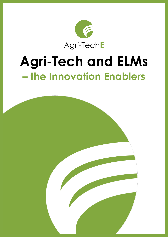

## **Agri-Tech and ELMs – the Innovation Enablers**

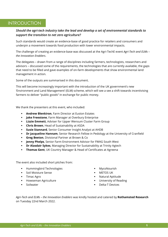#### INTRODUCTION

#### *Should the agri-tech industry take the lead and develop a set of environmental standards to support the transition to net zero agriculture?*

Such standards would create an evidence-base of good practice for retailers and consumers and underpin a movement towards food production with lower environmental impacts.

The challenge of creating an evidence-base was discussed at the Agri-TechE event *Agri-Tech and ELMs – the Innovation Enablers*.

The delegates – drawn from a range of disciplines including farmers, technologists, researchers and advisors – discussed some of the requirements, the technologies that are currently available, the gaps that need to be filled and gave examples of on-farm developments that show environmental land management in action.

Some of the outputs are summarised in this document.

This will become increasingly important with the introduction of the UK government's new 'Environment and Land Management' (ELM) scheme, which will see a see a shift towards incentivising farmers to deliver "public goods" in exchange for public money.

We thank the presenters at this event, who included:

- **Andrew Blenkiron, Farm Director at Euston Estates**
- **Jake Freestone**, Farm Manager at Overbury Enterprise
- **Lizzie Emmett**, Adviser for Upper Wensum Cluster Farm Group
- **Chris Brown**, Head of Sustainability at ASDA
- **Susie Stannard**, Senior Consumer Insight Analyst at AHDB
- **Dr Jacqueline Hannam**, Senior Research Fellow in Pedology at the University of Cranfield
- **Greg Beeton**, Divisional Partner at Brown & Co
- **Jenny Phelps**, Senior Farm Environment Advisor for FWAG South West
- **Dr Alasdair Sykes**, Managing Director for Sustainability at Trinity Agtech
- **Thomas Gent**, UK Country Manager & Head of Certificates at Agreena

The event also included short pitches from:

- Hummingbird Technologies
- Soil Moisture Sense
- Timac Agro
- **■** Howseman Agriculture
- Soilwater
- MycoNourish
- **■** METOS UK
- Natural Aptitude
- **■** University of Reading
- Delta-T Devices

*Agri-Tech and ELMs – the Innovation Enablers* was kindly hosted and catered by **Rothamsted Research** on Tuesday 22nd March 2022.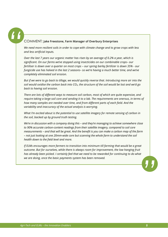## *"*

#### COMMENT: **Jake Freestone, Farm Manager of Overbury Enterprises**

*We need more resilient soils in order to cope with climate change and to grow crops with less and less artificial inputs.* 

*Over the last 7 years our organic matter has risen by an average of 0.2% a year, which is significant. On our farms we've stopped using insecticides on our combinable crops– our fertiliser is down over a quarter on most crops – our spring barley fertilizer is down 35% - our fungicide use has halved in the last 2 seasons– so we're having a much better time, and we've completely eliminated soil erosion.*

*But if we were to go back to tillage, we would quickly reverse that. Introducing more air into the soil would oxidise the carbon back into CO2, the structure of the soil would be lost and we'd go back to having soil erosion.*

*There are lots of different ways to measure soil carbon, most of which are quite expensive, and require taking a large soil core and sending it to a lab. The requirements are onerous, in terms of how many samples are needed over time, and from different parts of each field. And the variability and inaccuracy of the actual analysis is worrying.* 

*What I'm excited about is the potential to use satellite imagery for remote sensing of carbon in the soil, backed up by ground truth testing.* 

*We're in discussion with a company doing this – and they're managing to achieve somewhere close to 90% accurate carbon-content readings from their satellite imagery, compared to soil core measurements – and that will be great. And the benefit is you can make a carbon map of the farm – not just looking at one 20mm-wide core but scanning the whole farm to understand the soil health down to the field level and more.*

*If ELMs encourages more farmers to transition into minimum till farming that would be a great outcome. But for ourselves, while there is always room for improvement, the low hanging fruit*  has already been picked. I certainly feel that we need to be rewarded for continuing to do what *we are doing, once the basic payments system has been removed.*

*"*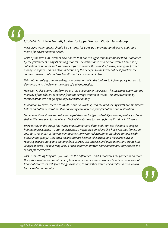## *"*

#### COMMENT: **Lizzie Emmett, Adviser for Upper Wensum Cluster Farm Group**

*Measuring water quality should be a priority for ELMs as it provides an objective and rapid metric for environmental health.* 

*Tests by the Wensum Farmers have shown that our run-off is infinitely smaller than is assumed by the government using its existing models. The results have also demonstrated how use of cultivation techniques such as cover crops can reduce this loss still further, saving the farmer money on inputs. This is a clear indication of the benefits to the farmer of best practice; the change is measurable and the benefits to the environment clear.*

*This data is really ground-breaking. It provides a tool in the toolbox to inform policy but also to demonstrate to the farmer the value of a given practice.*

*However, it also shows that farmers are just one piece of the jigsaw. The measures show that the majority of the effluent is coming from the sewage treatment works - so improvements by farmers alone are not going to improve water quality.*

*In addition to rivers, there are 20,000 ponds in Norfolk, and the biodiversity levels are monitored before and after restoration. Plant diversity can increase four-fold after pond restoration.*

*Sometimes it's as simple as having some fruit-bearing hedges and wildlife strips to provide food and shelter. We have seen farms where a flock of linnets have turned up for the first time in 20 years.*

*Every farmer in the group has winter and summer bird data, and I can use the data to suggest habitat improvements. To start a discussion, I might ask something like 'have you seen linnets on your farm recently?' or 'do you want to know how your yellowhammer numbers compare with others in the group?'. This often means they are keen to take action, and measures such as reducing hedge cutting and planting food sources can increase bird populations and create little villages of birds. The following year, if I take a farmer out with some binoculars, they can see the results for themselves.*

*This is something tangible – you can see the difference – and it motivates the farmer to do more. But if this involves a commitment of time and resources there also needs to be a proportional financial reward as well from the government, to show that improving habitats is also valued by the wider community.*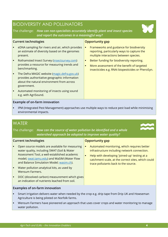## BIODIVERSITY AND POLLINATORS

The challenge: *How can non-specialists accurately identify plant and insect species and report the outcomes in a meaningful way?*

#### **Current technologies Current technologies Current technologies**

- eDNA sampling for rivers and air, which provides an estimate of diversity based on the genomes present.
- Rothamsted Insect Survey [\(insectsurvey.com\)](https://insectsurvey.com/) provides a resource for measuring trends and benchmarking.
- **The Defra MAGIC website [\(magic.defra.gov.uk\)](https://magic.defra.gov.uk/)** provides authoritative geographic information about the natural environment from across government.
- Automated monitoring of insects using sound e.g. with AgriSound.

#### **Example of on-farm innovation**

IPM (Integrated Pest Management) approaches use multiple ways to reduce pest load while minimising environmental impacts.

### **WATER**

The challenge: *How can the source of water pollution be identified and a whole watershed approach be adopted to improve water quality?*

#### **Current technologies Current technologies Current technologies**

- Open source models are available for measuring water quality, including SWAT (Soil & Water Assessment Tool, a well-established academic model; [swat.tamu.edu\)](https://swat.tamu.edu/) and WaSIM (Water Flow and Balance Simulation Model; [wasim.ch\)](http://www.wasim.ch/en/).
- Water pollution analytical kits, as used by Wensum Farmers.
- DOC (dissolved carbon) measurement which gives an indication of nutrients leached from soil.

#### **Examples of on-farm innovation**

- Smart irrigation delivers water when needed by the crop e.g. drip tape from Drip UK and Howseman Agriculture is being piloted on Norfolk farms.
- Wensum Farmers have pioneered an approach that uses cover crops and water monitoring to manage water pollution.

- Frameworks and guidance for biodiversity reporting, particularly ways to capture the multiple interactions between species.
- **EXECT:** Better funding for biodiversity reporting.
- More assessment of the benefit of targeted insecticides e.g. RNAi biopesticides or PheroSyn.

- Automated monitoring, which requires better infrastructure including network connection.
- Help with developing 'joined-up' testing at a catchment scale, at the correct sites, which could trace pollutants back to the source.



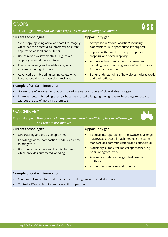### **CROPS**

#### The challenge: *How can we make crops less reliant on inorganic inputs?*

#### **Current technologies Current technologies Current technologies**

- Yield mapping using aerial and satellite imagery, which has the potential to inform variable rate application of seed and fertiliser.
- Use of mixed variety plantings, e.g. mixed cropping to avoid monoculture.
- **•** Precision farming and satellite data, which enables targeting of inputs
- Advanced plant breeding technologies, which have potential to increase plant resilience.

- New pesticide 'modes of action', including biopesticides, with appropriate IPM support.
- **E** Support with mixed cropping, companion cropping and cover cropping.
- Automated mechanical pest management, including detection using 'e-noses' and robotics for per-plant treatments.
- Better understanding of how bio-stimulants work and their efficacy.

#### **Example of on-farm innovation**

- Greater use of legumes in rotation is creating a natural source of bioavailable nitrogen.
- Improvements in breeding of sugar beet has created a longer growing season, boosting productivity without the use of inorganic chemicals.

#### **MACHINERY**

The challenge: *How can machinery become more fuel-efficient, lessen soil damage and require less labour?*



| <b>Current technologies</b>                                                                                                                                                                 | <b>Opportunity gap</b>                                                                                                                                                                                                                                                                                                                                            |  |
|---------------------------------------------------------------------------------------------------------------------------------------------------------------------------------------------|-------------------------------------------------------------------------------------------------------------------------------------------------------------------------------------------------------------------------------------------------------------------------------------------------------------------------------------------------------------------|--|
| GPS tracking and precision spraying.<br>Knowledge of soil compaction models, and how<br>to mitigate it.<br>Use of machine vision and laser technology,<br>which provides automated weeding. | To solve interoperability - the ISOBUS challenge<br>٠<br>(ISOBUS asks that all machinery use the same<br>standardised communications and connectors).<br>Machinery suitable for radical approaches, e.g.<br>٠<br>no-till or agroforestry.<br>Alternative fuels, e.g. biogas, hydrogen and<br>$\blacksquare$<br>methane.<br>Autonomous vehicles and robotics.<br>п |  |
| Example of on-farm innovation                                                                                                                                                               |                                                                                                                                                                                                                                                                                                                                                                   |  |
|                                                                                                                                                                                             |                                                                                                                                                                                                                                                                                                                                                                   |  |

- Minimum-till agriculture reduces the use of ploughing and soil disturbance.
- Controlled Traffic Farming reduces soil compaction.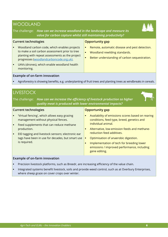## WOODLAND



The challenge: *How can we increase woodland in the landscape and measure its value for carbon capture whilst still maintaining productivity?*

| <b>Current technologies</b>                                                                                                                                                                                                                                | <b>Opportunity gap</b>                                                                                                                                       |  |
|------------------------------------------------------------------------------------------------------------------------------------------------------------------------------------------------------------------------------------------------------------|--------------------------------------------------------------------------------------------------------------------------------------------------------------|--|
| Woodland carbon code, which enables projects<br>to make a soil carbon assessment prior to tree<br>planting with repeat assessments as the project<br>progresses (woodlandcarboncode.org.uk).<br>UAVs (drones), which enable woodland health<br>monitoring. | Remote, automatic disease and pest detection.<br>٠<br>Woodland rewilding standards.<br>Ō.<br>Better understanding of carbon sequestration.<br>$\blacksquare$ |  |
| <b>Example of on-farm innovation</b>                                                                                                                                                                                                                       |                                                                                                                                                              |  |
| Agroforestry is showing benefits, e.g. underplanting of fruit trees and planting trees as windbreaks in cereals.                                                                                                                                           |                                                                                                                                                              |  |
| <b>LIVESTOCK</b>                                                                                                                                                                                                                                           |                                                                                                                                                              |  |
| How can we increase the efficiency of livestock production so higher<br>The challenge:<br>quality meat is produced with lower environmental impacts?                                                                                                       |                                                                                                                                                              |  |
| <b>Current technologies</b>                                                                                                                                                                                                                                | <b>Opportunity gap</b>                                                                                                                                       |  |

- 'Virtual fencing', which allows easy grazing management without physical fences.
	- Feed supplements that can reduce methane production.
	- **EID tagging and livestock sensors; electronic ear** tags have been in use for decades, but smart use is required.

- Availability of emissions scores based on rearing conditions, feed type, breed, genetics and individual animal.
- Alternative, low-emission feeds and methanereduction feed additives.
- Optimisation of anaerobic digestion.
- **■** Implementation of tech for breeding lower emissions / improved performance, including gene editing.

#### **Example of on-farm innovation**

- Precision livestock platforms, such as Breedr, are increasing efficiency of the value chain.
- **EXEDENT Integrated systems benefit livestock, soils and provide weed control, such as at Overbury Enterprises,** where sheep graze on cover crops over winter.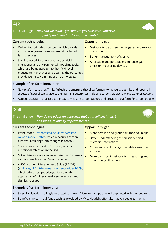#### AIR

#### The challenge: *How can we reduce greenhouse gas emissions, improve air quality and monitor the improvements?*

**Current technologies Current technologies Current technologies** 

#### ■ Satellite-based Earth observation, artificial intelligence and environmental modelling tools, which are being used to monitor field-level

Carbon footprint decision tools, which provide estimates of greenhouse gas emissions based on

#### management practices and quantify the outcomes they deliver, e.g. Hummingbird Technologies.

#### **Example of on-farm innovation**

farm practices.

#### New platforms, such as Trinity AgTech, are emerging that allow farmers to measure, optimise and report all aspects of natural capital across their farming enterprises, including carbon, biodiversity and water protection.

Agreena uses farm practices as a proxy to measure carbon capture and provides a platform for carbon trading.

### SOIL

#### The challenge: *How do we adopt an approach that puts soil health first and measure quality improvements?*

#### **Current technologies Current technologies Current is the UP**

- RothC model [\(rothamsted.ac.uk/rothamsted](https://www.rothamsted.ac.uk/rothamsted-carbon-model-rothc)[carbon-model-rothc\)](https://www.rothamsted.ac.uk/rothamsted-carbon-model-rothc), which measures carbon turnover resulting from changes in topsoil.
- Soil enhancements like Rescaype, which increase nutritional retention in the soil.
- Soil moisture sensors, as water retention increases with soil health e.g. Soil Moisture Sense.
- AHDB Nutrient Management Guide (RB209) [\(ahdb.org.uk/nutrient-management-guide-rb209\)](https://ahdb.org.uk/nutrient-management-guide-rb209), which offers best practice guidance on the application of mineral fertilisers, manures and slurries to crops

#### **Example of on-farm innovation**

- Strip-till cultivation tilling is restricted to narrow 25cm-wide strips that will be planted with the seed row.
- Beneficial mycorrhizal fungi, such as provided by MycoNourish, offer alternative seed treatments.

the nutrients.

Better management of slurry.

emission measuring devices.

■ More detailed and ground-truthed soil maps.

Methods to trap greenhouse gases and extract

Affordable and portable greenhouse gas

- Better understanding of soil science and microbial interactions.
- Commercial soil biology to enable assessment at scale.
- More consistent methods for measuring and monitoring soil carbon.